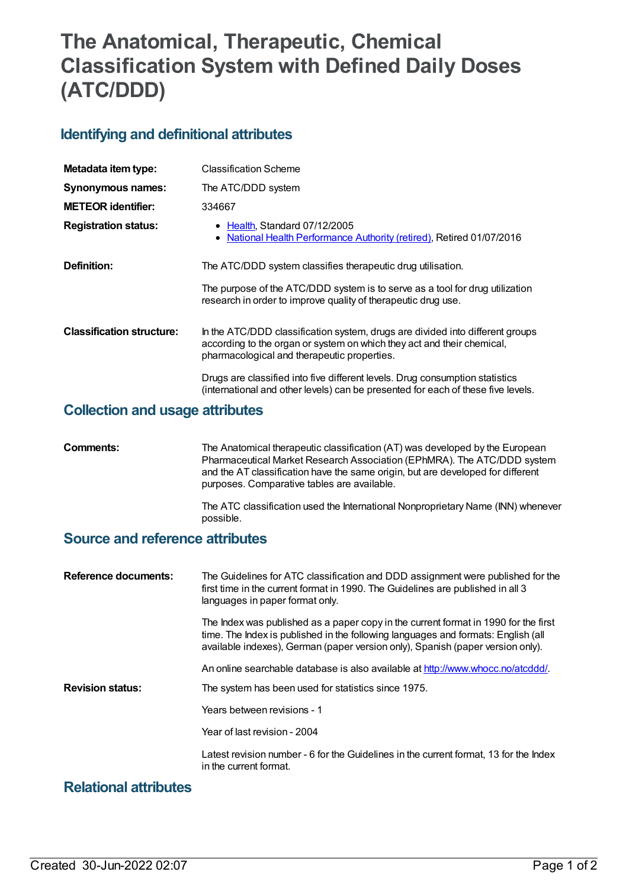# **The Anatomical, Therapeutic, Chemical Classification System with Defined Daily Doses (ATC/DDD)**

## **Identifying and definitional attributes**

| Metadata item type:              | <b>Classification Scheme</b>                                                                                                                                                                           |
|----------------------------------|--------------------------------------------------------------------------------------------------------------------------------------------------------------------------------------------------------|
| <b>Synonymous names:</b>         | The ATC/DDD system                                                                                                                                                                                     |
| <b>METEOR identifier:</b>        | 334667                                                                                                                                                                                                 |
| <b>Registration status:</b>      | • Health, Standard 07/12/2005<br>National Health Performance Authority (retired), Retired 01/07/2016                                                                                                   |
| Definition:                      | The ATC/DDD system classifies therapeutic drug utilisation.                                                                                                                                            |
|                                  | The purpose of the ATC/DDD system is to serve as a tool for drug utilization<br>research in order to improve quality of therapeutic drug use.                                                          |
| <b>Classification structure:</b> | In the ATC/DDD classification system, drugs are divided into different groups<br>according to the organ or system on which they act and their chemical,<br>pharmacological and therapeutic properties. |
|                                  | Drugs are classified into five different levels. Drug consumption statistics<br>(international and other levels) can be presented for each of these five levels.                                       |
|                                  |                                                                                                                                                                                                        |

#### **Collection and usage attributes**

| Comments: | The Anatomical therapeutic classification (AT) was developed by the European<br>Pharmaceutical Market Research Association (EPhMRA). The ATC/DDD system<br>and the AT classification have the same origin, but are developed for different<br>purposes. Comparative tables are available. |
|-----------|-------------------------------------------------------------------------------------------------------------------------------------------------------------------------------------------------------------------------------------------------------------------------------------------|
|           | The ATC classification used the International Nonproprietary Name (INN) whenever                                                                                                                                                                                                          |

### **Source and reference attributes**

possible.

| <b>Reference documents:</b> | The Guidelines for ATC classification and DDD assignment were published for the<br>first time in the current format in 1990. The Guidelines are published in all 3<br>languages in paper format only.                                                      |
|-----------------------------|------------------------------------------------------------------------------------------------------------------------------------------------------------------------------------------------------------------------------------------------------------|
|                             | The Index was published as a paper copy in the current format in 1990 for the first<br>time. The Index is published in the following languages and formats: English (all<br>available indexes), German (paper version only), Spanish (paper version only). |
| <b>Revision status:</b>     | An online searchable database is also available at http://www.whocc.no/atcddd/.<br>The system has been used for statistics since 1975.                                                                                                                     |
|                             | Years between revisions - 1                                                                                                                                                                                                                                |
|                             | Year of last revision - 2004                                                                                                                                                                                                                               |
|                             | Latest revision number - 6 for the Guidelines in the current format, 13 for the Index<br>in the current format.                                                                                                                                            |

## **Relational attributes**